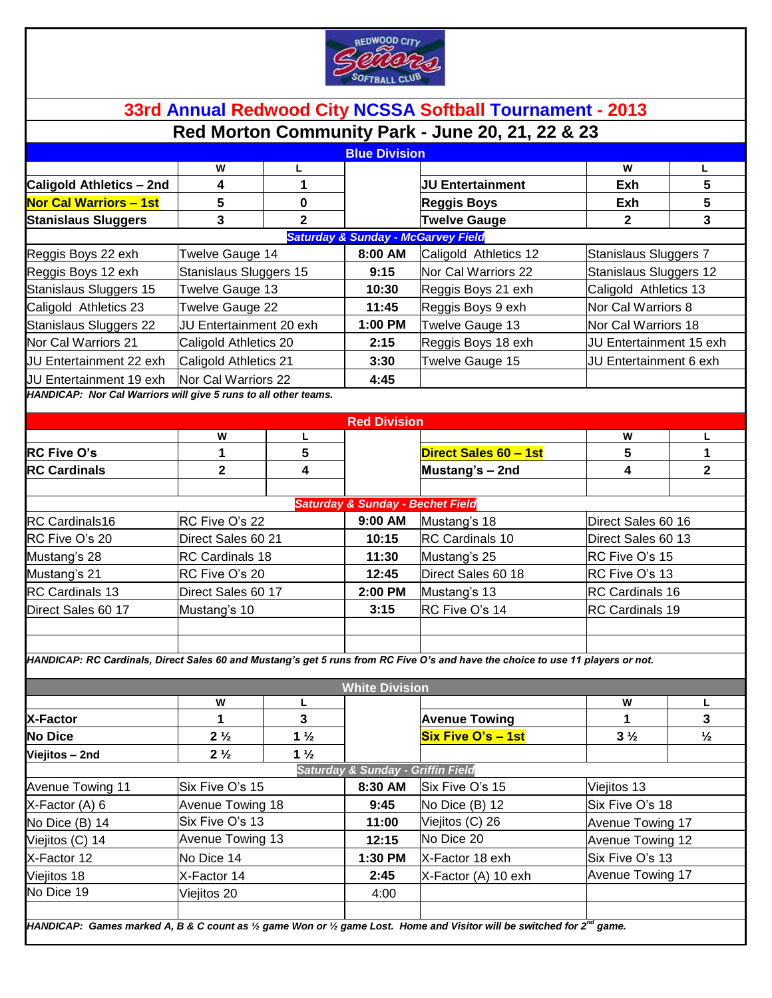

|                                                                 |                         |                |                                               | Red Morton Community Park - June 20, 21, 22 & 23                                                                                |                         |               |
|-----------------------------------------------------------------|-------------------------|----------------|-----------------------------------------------|---------------------------------------------------------------------------------------------------------------------------------|-------------------------|---------------|
|                                                                 |                         |                | <b>Blue Division</b>                          |                                                                                                                                 |                         |               |
|                                                                 | w                       | L              |                                               |                                                                                                                                 | W                       | L             |
| <b>Caligold Athletics - 2nd</b>                                 | 4                       | 1              |                                               | <b>JU Entertainment</b>                                                                                                         | Exh                     | 5             |
| <b>Nor Cal Warriors - 1st</b>                                   | 5                       | 0              |                                               | <b>Reggis Boys</b>                                                                                                              | Exh                     | 5             |
| <b>Stanislaus Sluggers</b>                                      | 3                       | $\mathbf 2$    |                                               | <b>Twelve Gauge</b>                                                                                                             | $\mathbf{2}$            | 3             |
|                                                                 |                         |                | <b>Saturday &amp; Sunday - McGarvey Field</b> |                                                                                                                                 |                         |               |
| Reggis Boys 22 exh                                              | Twelve Gauge 14         |                | 8:00 AM                                       | Caligold Athletics 12                                                                                                           | Stanislaus Sluggers 7   |               |
| Reggis Boys 12 exh                                              | Stanislaus Sluggers 15  |                | 9:15                                          | Nor Cal Warriors 22                                                                                                             | Stanislaus Sluggers 12  |               |
| Stanislaus Sluggers 15                                          | Twelve Gauge 13         |                | 10:30                                         | Reggis Boys 21 exh                                                                                                              | Caligold Athletics 13   |               |
| Caligold Athletics 23                                           | Twelve Gauge 22         |                | 11:45                                         | Reggis Boys 9 exh                                                                                                               | Nor Cal Warriors 8      |               |
| <b>Stanislaus Sluggers 22</b>                                   | JU Entertainment 20 exh |                | 1:00 PM                                       | Twelve Gauge 13                                                                                                                 | Nor Cal Warriors 18     |               |
| Nor Cal Warriors 21                                             | Caligold Athletics 20   |                | 2:15                                          | Reggis Boys 18 exh                                                                                                              | JU Entertainment 15 exh |               |
| JU Entertainment 22 exh                                         | Caligold Athletics 21   |                | 3:30                                          | Twelve Gauge 15                                                                                                                 | JU Entertainment 6 exh  |               |
| JU Entertainment 19 exh                                         | Nor Cal Warriors 22     |                | 4:45                                          |                                                                                                                                 |                         |               |
| HANDICAP: Nor Cal Warriors will give 5 runs to all other teams. |                         |                |                                               |                                                                                                                                 |                         |               |
|                                                                 |                         |                | <b>Red Division</b>                           |                                                                                                                                 |                         |               |
|                                                                 | W                       | L              |                                               |                                                                                                                                 | W                       | L             |
| <b>RC Five O's</b>                                              | 1                       | 5              |                                               | Direct Sales 60 - 1st                                                                                                           | 5                       | 1             |
| <b>RC Cardinals</b>                                             | $\mathbf 2$             | 4              |                                               | Mustang's - 2nd                                                                                                                 | 4                       | $\mathbf 2$   |
|                                                                 |                         |                |                                               |                                                                                                                                 |                         |               |
|                                                                 |                         |                | <b>Saturday &amp; Sunday - Bechet Field</b>   |                                                                                                                                 |                         |               |
| <b>RC Cardinals16</b>                                           | RC Five O's 22          |                | 9:00 AM                                       | Mustang's 18                                                                                                                    | Direct Sales 60 16      |               |
| RC Five O's 20                                                  | Direct Sales 60 21      |                | 10:15                                         | RC Cardinals 10                                                                                                                 | Direct Sales 60 13      |               |
| Mustang's 28                                                    | <b>RC</b> Cardinals 18  |                | 11:30                                         | Mustang's 25                                                                                                                    | RC Five O's 15          |               |
| Mustang's 21                                                    | RC Five O's 20          |                | 12:45                                         | Direct Sales 60 18                                                                                                              | RC Five O's 13          |               |
| <b>RC Cardinals 13</b>                                          | Direct Sales 60 17      |                | 2:00 PM                                       | Mustang's 13                                                                                                                    | RC Cardinals 16         |               |
| Direct Sales 60 17                                              | Mustang's 10            |                | 3:15                                          | RC Five O's 14                                                                                                                  | RC Cardinals 19         |               |
|                                                                 |                         |                |                                               |                                                                                                                                 |                         |               |
|                                                                 |                         |                |                                               |                                                                                                                                 |                         |               |
|                                                                 |                         |                |                                               | HANDICAP: RC Cardinals, Direct Sales 60 and Mustang's get 5 runs from RC Five O's and have the choice to use 11 players or not. |                         |               |
|                                                                 |                         |                |                                               |                                                                                                                                 |                         |               |
|                                                                 |                         |                | <b>White Division</b>                         |                                                                                                                                 |                         |               |
|                                                                 | W                       | г              |                                               |                                                                                                                                 | W                       | L             |
| <b>X-Factor</b>                                                 | 1                       | 3              |                                               | <b>Avenue Towing</b><br>Six Five O's - 1st                                                                                      | 1                       | 3             |
| <b>No Dice</b>                                                  | $2\frac{1}{2}$          | $1\frac{1}{2}$ |                                               |                                                                                                                                 | $3\frac{1}{2}$          | $\frac{1}{2}$ |
| Viejitos - 2nd                                                  | $2\frac{1}{2}$          | $1\frac{1}{2}$ | Saturday & Sunday - Griffin Field             |                                                                                                                                 |                         |               |
|                                                                 |                         |                | 8:30 AM                                       | Six Five O's 15                                                                                                                 |                         |               |
| <b>Avenue Towing 11</b>                                         | Six Five O's 15         |                |                                               |                                                                                                                                 | Viejitos 13             |               |
| X-Factor (A) 6                                                  | Avenue Towing 18        |                | 9:45                                          | No Dice (B) 12                                                                                                                  | Six Five O's 18         |               |
| No Dice (B) 14                                                  | Six Five O's 13         |                | 11:00                                         | Viejitos (C) 26                                                                                                                 | Avenue Towing 17        |               |
| Viejitos (C) 14                                                 | Avenue Towing 13        |                | 12:15                                         | No Dice 20                                                                                                                      | Avenue Towing 12        |               |
| X-Factor 12                                                     | No Dice 14              |                | 1:30 PM                                       | X-Factor 18 exh                                                                                                                 | Six Five O's 13         |               |
|                                                                 | X-Factor 14             |                | 2:45                                          | X-Factor (A) 10 exh                                                                                                             | Avenue Towing 17        |               |
| Viejitos 18<br>No Dice 19                                       | Viejitos 20             |                | 4:00                                          |                                                                                                                                 |                         |               |